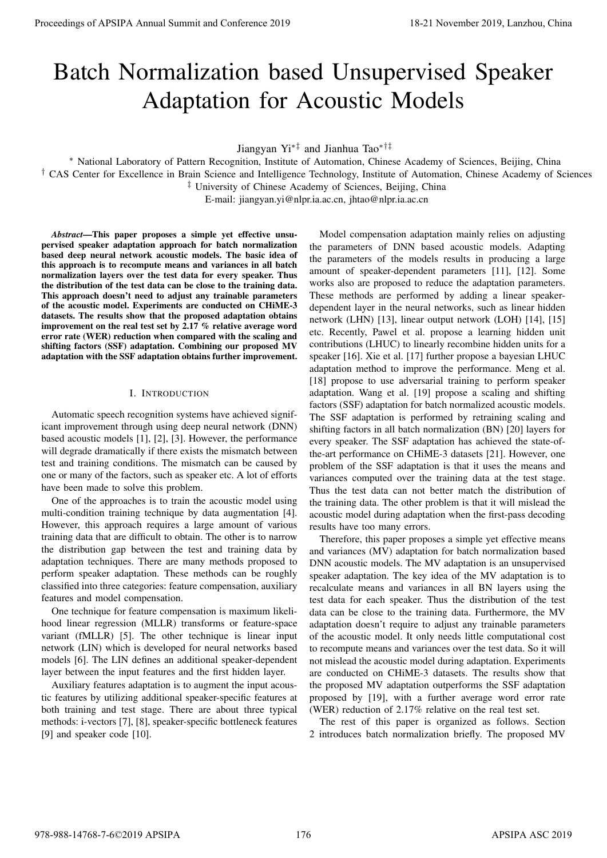# Batch Normalization based Unsupervised Speaker Adaptation for Acoustic Models

Jiangyan Yi∗‡ and Jianhua Tao∗†‡

<sup>∗</sup> National Laboratory of Pattern Recognition, Institute of Automation, Chinese Academy of Sciences, Beijing, China † CAS Center for Excellence in Brain Science and Intelligence Technology, Institute of Automation, Chinese Academy of Sciences ‡ University of Chinese Academy of Sciences, Beijing, China

E-mail: jiangyan.yi@nlpr.ia.ac.cn, jhtao@nlpr.ia.ac.cn

*Abstract*—This paper proposes a simple yet effective unsupervised speaker adaptation approach for batch normalization based deep neural network acoustic models. The basic idea of this approach is to recompute means and variances in all batch normalization layers over the test data for every speaker. Thus the distribution of the test data can be close to the training data. This approach doesn't need to adjust any trainable parameters of the acoustic model. Experiments are conducted on CHiME-3 datasets. The results show that the proposed adaptation obtains improvement on the real test set by 2.17 % relative average word error rate (WER) reduction when compared with the scaling and shifting factors (SSF) adaptation. Combining our proposed MV adaptation with the SSF adaptation obtains further improvement.

# I. INTRODUCTION

Automatic speech recognition systems have achieved significant improvement through using deep neural network (DNN) based acoustic models [1], [2], [3]. However, the performance will degrade dramatically if there exists the mismatch between test and training conditions. The mismatch can be caused by one or many of the factors, such as speaker etc. A lot of efforts have been made to solve this problem.

One of the approaches is to train the acoustic model using multi-condition training technique by data augmentation [4]. However, this approach requires a large amount of various training data that are difficult to obtain. The other is to narrow the distribution gap between the test and training data by adaptation techniques. There are many methods proposed to perform speaker adaptation. These methods can be roughly classified into three categories: feature compensation, auxiliary features and model compensation.

One technique for feature compensation is maximum likelihood linear regression (MLLR) transforms or feature-space variant (fMLLR) [5]. The other technique is linear input network (LIN) which is developed for neural networks based models [6]. The LIN defines an additional speaker-dependent layer between the input features and the first hidden layer.

Auxiliary features adaptation is to augment the input acoustic features by utilizing additional speaker-specific features at both training and test stage. There are about three typical methods: i-vectors [7], [8], speaker-specific bottleneck features [9] and speaker code [10].

Model compensation adaptation mainly relies on adjusting the parameters of DNN based acoustic models. Adapting the parameters of the models results in producing a large amount of speaker-dependent parameters [11], [12]. Some works also are proposed to reduce the adaptation parameters. These methods are performed by adding a linear speakerdependent layer in the neural networks, such as linear hidden network (LHN) [13], linear output network (LOH) [14], [15] etc. Recently, Pawel et al. propose a learning hidden unit contributions (LHUC) to linearly recombine hidden units for a speaker [16]. Xie et al. [17] further propose a bayesian LHUC adaptation method to improve the performance. Meng et al. [18] propose to use adversarial training to perform speaker adaptation. Wang et al. [19] propose a scaling and shifting factors (SSF) adaptation for batch normalized acoustic models. The SSF adaptation is performed by retraining scaling and shifting factors in all batch normalization (BN) [20] layers for every speaker. The SSF adaptation has achieved the state-ofthe-art performance on CHiME-3 datasets [21]. However, one problem of the SSF adaptation is that it uses the means and variances computed over the training data at the test stage. Thus the test data can not better match the distribution of the training data. The other problem is that it will mislead the acoustic model during adaptation when the first-pass decoding results have too many errors. **Proceedings of APSIPA Annual Summit and Conference 2019**<br> **Batch Morentzial and Conference 2019**<br> **Batch Morentzial and Conference 2019**<br> **Process of Conference 2019**<br> **CASE And Conference 2019**<br> **Process of Conference 2** 

Therefore, this paper proposes a simple yet effective means and variances (MV) adaptation for batch normalization based DNN acoustic models. The MV adaptation is an unsupervised speaker adaptation. The key idea of the MV adaptation is to recalculate means and variances in all BN layers using the test data for each speaker. Thus the distribution of the test data can be close to the training data. Furthermore, the MV adaptation doesn't require to adjust any trainable parameters of the acoustic model. It only needs little computational cost to recompute means and variances over the test data. So it will not mislead the acoustic model during adaptation. Experiments are conducted on CHiME-3 datasets. The results show that the proposed MV adaptation outperforms the SSF adaptation proposed by [19], with a further average word error rate (WER) reduction of 2.17% relative on the real test set.

The rest of this paper is organized as follows. Section 2 introduces batch normalization briefly. The proposed MV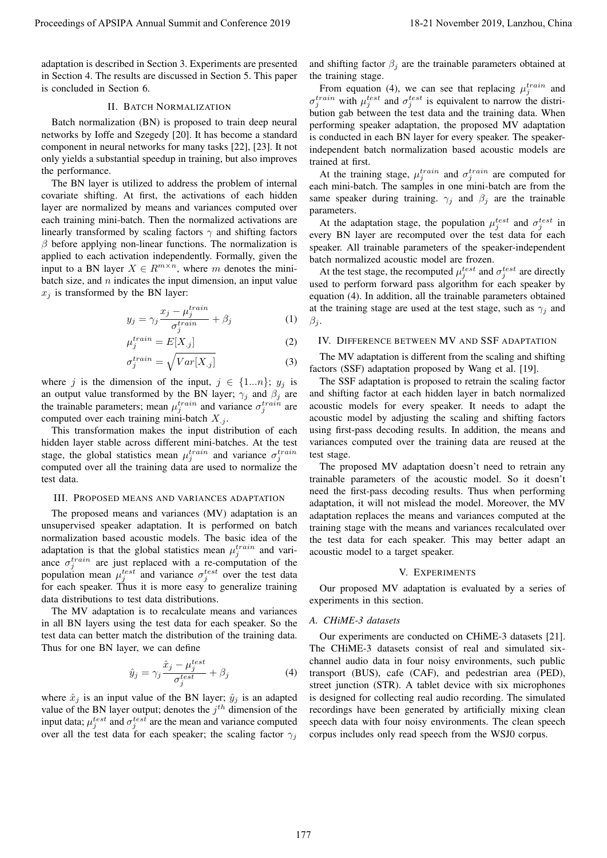adaptation is described in Section 3. Experiments are presented in Section 4. The results are discussed in Section 5. This paper is concluded in Section 6.

# II. BATCH NORMALIZATION

Batch normalization (BN) is proposed to train deep neural networks by Ioffe and Szegedy [20]. It has become a standard component in neural networks for many tasks [22], [23]. It not only yields a substantial speedup in training, but also improves the performance.

The BN layer is utilized to address the problem of internal covariate shifting. At first, the activations of each hidden layer are normalized by means and variances computed over each training mini-batch. Then the normalized activations are linearly transformed by scaling factors  $\gamma$  and shifting factors  $\beta$  before applying non-linear functions. The normalization is applied to each activation independently. Formally, given the input to a BN layer  $X \in R^{m \times n}$ , where m denotes the minibatch size, and  $n$  indicates the input dimension, an input value  $x_j$  is transformed by the BN layer: Proceedings of APSIPA Annual Summit at China 2019 18-21 November 2019 18-21 November 2019 18-21 November 2019 18-21 November 2019 18-21 November 2019 18-21 November 2019 18-21 November 2019 18-21 November 2019 18-21 Novem

$$
y_j = \gamma_j \frac{x_j - \mu_j^{train}}{\sigma_j^{train}} + \beta_j \tag{1}
$$

$$
\mu_j^{train} = E[X_{.j}] \tag{2}
$$

$$
\sigma_j^{train} = \sqrt{Var[X_{.j}]}
$$
 (3)

where j is the dimension of the input,  $j \in \{1...n\}$ ;  $y_j$  is an output value transformed by the BN layer;  $\gamma_j$  and  $\beta_j$  are the trainable parameters; mean  $\mu_j^{train}$  and variance  $\sigma_j^{train}$  are computed over each training mini-batch  $X_{.j}$ .

This transformation makes the input distribution of each hidden layer stable across different mini-batches. At the test stage, the global statistics mean  $\mu_j^{train}$  and variance  $\sigma_j^{train}$ computed over all the training data are used to normalize the test data.

# III. PROPOSED MEANS AND VARIANCES ADAPTATION

The proposed means and variances (MV) adaptation is an unsupervised speaker adaptation. It is performed on batch normalization based acoustic models. The basic idea of the adaptation is that the global statistics mean  $\mu_j^{train}$  and variance  $\sigma_j^{train}$  are just replaced with a re-computation of the population mean  $\mu_j^{test}$  and variance  $\sigma_j^{test}$  over the test data for each speaker. Thus it is more easy to generalize training data distributions to test data distributions.

The MV adaptation is to recalculate means and variances in all BN layers using the test data for each speaker. So the test data can better match the distribution of the training data. Thus for one BN layer, we can define

$$
\hat{y}_j = \gamma_j \frac{\hat{x}_j - \mu_j^{test}}{\sigma_j^{test}} + \beta_j \tag{4}
$$

where  $\hat{x}_j$  is an input value of the BN layer;  $\hat{y}_j$  is an adapted value of the BN layer output; denotes the  $j<sup>th</sup>$  dimension of the input data;  $\mu_j^{test}$  and  $\sigma_j^{test}$  are the mean and variance computed over all the test data for each speaker; the scaling factor  $\gamma_i$ 

and shifting factor  $\beta_i$  are the trainable parameters obtained at the training stage.

From equation (4), we can see that replacing  $\mu_j^{train}$  and  $\sigma_j^{train}$  with  $\mu_j^{test}$  and  $\sigma_j^{test}$  is equivalent to narrow the distribution gab between the test data and the training data. When performing speaker adaptation, the proposed MV adaptation is conducted in each BN layer for every speaker. The speakerindependent batch normalization based acoustic models are trained at first.

At the training stage,  $\mu_j^{train}$  and  $\sigma_j^{train}$  are computed for each mini-batch. The samples in one mini-batch are from the same speaker during training.  $\gamma_j$  and  $\beta_j$  are the trainable parameters.

At the adaptation stage, the population  $\mu_j^{test}$  and  $\sigma_j^{test}$  in every BN layer are recomputed over the test data for each speaker. All trainable parameters of the speaker-independent batch normalized acoustic model are frozen.

At the test stage, the recomputed  $\mu_j^{test}$  and  $\sigma_j^{test}$  are directly used to perform forward pass algorithm for each speaker by equation (4). In addition, all the trainable parameters obtained at the training stage are used at the test stage, such as  $\gamma_i$  and  $\beta_i$ .

# IV. DIFFERENCE BETWEEN MV AND SSF ADAPTATION

The MV adaptation is different from the scaling and shifting factors (SSF) adaptation proposed by Wang et al. [19].

The SSF adaptation is proposed to retrain the scaling factor and shifting factor at each hidden layer in batch normalized acoustic models for every speaker. It needs to adapt the acoustic model by adjusting the scaling and shifting factors using first-pass decoding results. In addition, the means and variances computed over the training data are reused at the test stage.

The proposed MV adaptation doesn't need to retrain any trainable parameters of the acoustic model. So it doesn't need the first-pass decoding results. Thus when performing adaptation, it will not mislead the model. Moreover, the MV adaptation replaces the means and variances computed at the training stage with the means and variances recalculated over the test data for each speaker. This may better adapt an acoustic model to a target speaker.

## V. EXPERIMENTS

Our proposed MV adaptation is evaluated by a series of experiments in this section.

#### *A. CHiME-3 datasets*

Our experiments are conducted on CHiME-3 datasets [21]. The CHiME-3 datasets consist of real and simulated sixchannel audio data in four noisy environments, such public transport (BUS), cafe (CAF), and pedestrian area (PED), street junction (STR). A tablet device with six microphones is designed for collecting real audio recording. The simulated recordings have been generated by artificially mixing clean speech data with four noisy environments. The clean speech corpus includes only read speech from the WSJ0 corpus.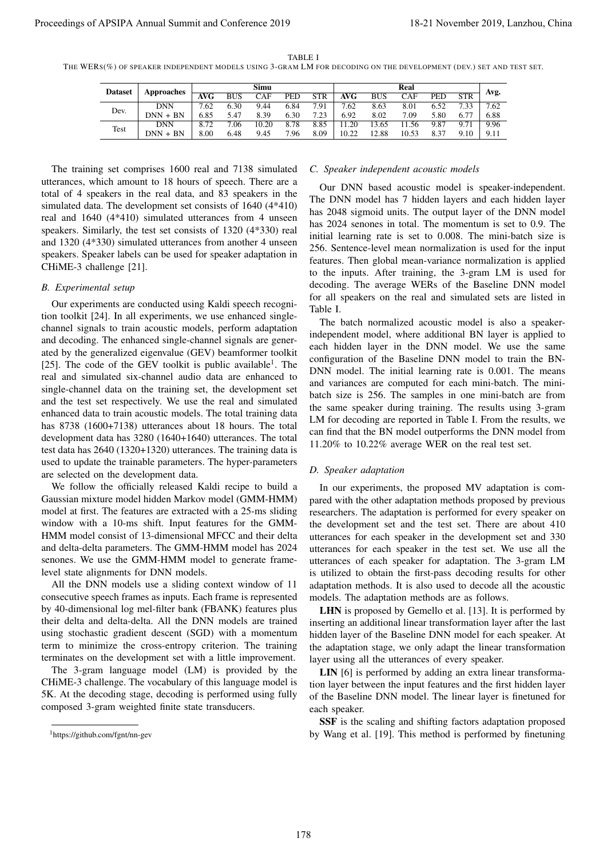| TABLE |  |
|-------|--|
|-------|--|

THE WERS(%) OF SPEAKER INDEPENDENT MODELS USING 3-GRAM LM FOR DECODING ON THE DEVELOPMENT (DEV.) SET AND TEST SET.

| <b>Dataset</b> | Approaches |      |            | Simu  |      |            |       |            | Real       |      |            |      |
|----------------|------------|------|------------|-------|------|------------|-------|------------|------------|------|------------|------|
|                |            | AVG  | <b>BUS</b> | CAF   | PED  | <b>STR</b> | AVG   | <b>BUS</b> | <b>CAF</b> | PED  | <b>STR</b> | Avg. |
|                | <b>DNN</b> | 7.62 | 6.30       | 9.44  | 6.84 | 7.91       | 7.62  | 8.63       | 8.01       | 6.52 | 7.33       | 7.62 |
| Dev.           | $DNN + BN$ | 6.85 | 5.47       | 8.39  | 6.30 | 7.23       | 6.92  | 8.02       | 7.09       | 5.80 | 6.77       | 6.88 |
| Test           | <b>DNN</b> | 8.72 | .06        | 10.20 | 8.78 | 8.85       | 1.20  | 3.65       | .56<br>11  | 9.87 | 9.71       | 9.96 |
|                | $DNN + BN$ | 8.00 | 6.48       | 9.45  | 7.96 | 8.09       | 10.22 | 12.88      | 10.53      | 8.37 | 9.10       | 9.11 |

The training set comprises 1600 real and 7138 simulated utterances, which amount to 18 hours of speech. There are a total of 4 speakers in the real data, and 83 speakers in the simulated data. The development set consists of 1640 (4\*410) real and 1640 (4\*410) simulated utterances from 4 unseen speakers. Similarly, the test set consists of 1320 (4\*330) real and 1320 (4\*330) simulated utterances from another 4 unseen speakers. Speaker labels can be used for speaker adaptation in CHiME-3 challenge [21].

#### *B. Experimental setup*

Our experiments are conducted using Kaldi speech recognition toolkit [24]. In all experiments, we use enhanced singlechannel signals to train acoustic models, perform adaptation and decoding. The enhanced single-channel signals are generated by the generalized eigenvalue (GEV) beamformer toolkit [25]. The code of the GEV toolkit is public available<sup>1</sup>. The real and simulated six-channel audio data are enhanced to single-channel data on the training set, the development set and the test set respectively. We use the real and simulated enhanced data to train acoustic models. The total training data has 8738 (1600+7138) utterances about 18 hours. The total development data has 3280 (1640+1640) utterances. The total test data has 2640 (1320+1320) utterances. The training data is used to update the trainable parameters. The hyper-parameters are selected on the development data. Proceedings of APSIPA Annual Summit and Conference 2019<br>
Yes  $-8\sqrt{2}$  and the summit and conference 2019 is  $-8\sqrt{2}$  and  $-8\sqrt{2}$  and  $-8\sqrt{2}$  and  $-8\sqrt{2}$  and  $-8\sqrt{2}$  and  $-8\sqrt{2}$  and  $-8\sqrt{2}$  and  $-8\sqrt{2}$  and

We follow the officially released Kaldi recipe to build a Gaussian mixture model hidden Markov model (GMM-HMM) model at first. The features are extracted with a 25-ms sliding window with a 10-ms shift. Input features for the GMM-HMM model consist of 13-dimensional MFCC and their delta and delta-delta parameters. The GMM-HMM model has 2024 senones. We use the GMM-HMM model to generate framelevel state alignments for DNN models.

All the DNN models use a sliding context window of 11 consecutive speech frames as inputs. Each frame is represented by 40-dimensional log mel-filter bank (FBANK) features plus their delta and delta-delta. All the DNN models are trained using stochastic gradient descent (SGD) with a momentum term to minimize the cross-entropy criterion. The training terminates on the development set with a little improvement.

The 3-gram language model (LM) is provided by the CHiME-3 challenge. The vocabulary of this language model is 5K. At the decoding stage, decoding is performed using fully composed 3-gram weighted finite state transducers.

#### *C. Speaker independent acoustic models*

Our DNN based acoustic model is speaker-independent. The DNN model has 7 hidden layers and each hidden layer has 2048 sigmoid units. The output layer of the DNN model has 2024 senones in total. The momentum is set to 0.9. The initial learning rate is set to 0.008. The mini-batch size is 256. Sentence-level mean normalization is used for the input features. Then global mean-variance normalization is applied to the inputs. After training, the 3-gram LM is used for decoding. The average WERs of the Baseline DNN model for all speakers on the real and simulated sets are listed in Table I.

The batch normalized acoustic model is also a speakerindependent model, where additional BN layer is applied to each hidden layer in the DNN model. We use the same configuration of the Baseline DNN model to train the BN-DNN model. The initial learning rate is 0.001. The means and variances are computed for each mini-batch. The minibatch size is 256. The samples in one mini-batch are from the same speaker during training. The results using 3-gram LM for decoding are reported in Table I. From the results, we can find that the BN model outperforms the DNN model from 11.20% to 10.22% average WER on the real test set.

#### *D. Speaker adaptation*

In our experiments, the proposed MV adaptation is compared with the other adaptation methods proposed by previous researchers. The adaptation is performed for every speaker on the development set and the test set. There are about 410 utterances for each speaker in the development set and 330 utterances for each speaker in the test set. We use all the utterances of each speaker for adaptation. The 3-gram LM is utilized to obtain the first-pass decoding results for other adaptation methods. It is also used to decode all the acoustic models. The adaptation methods are as follows.

LHN is proposed by Gemello et al. [13]. It is performed by inserting an additional linear transformation layer after the last hidden layer of the Baseline DNN model for each speaker. At the adaptation stage, we only adapt the linear transformation layer using all the utterances of every speaker.

LIN [6] is performed by adding an extra linear transformation layer between the input features and the first hidden layer of the Baseline DNN model. The linear layer is finetuned for each speaker.

SSF is the scaling and shifting factors adaptation proposed by Wang et al. [19]. This method is performed by finetuning

<sup>1</sup>https://github.com/fgnt/nn-gev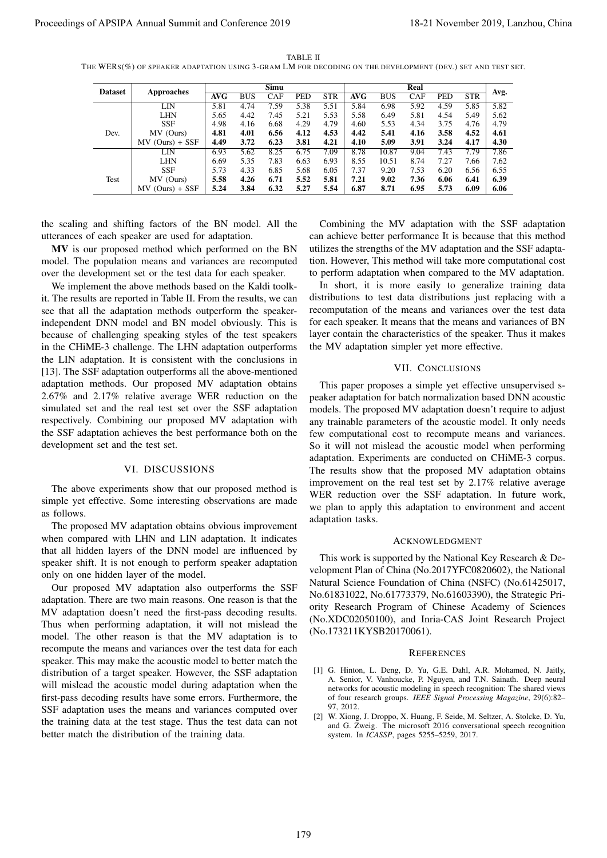TABLE II THE WERS(%) OF SPEAKER ADAPTATION USING 3-GRAM LM FOR DECODING ON THE DEVELOPMENT (DEV.) SET AND TEST SET.

|                                                                                                                                                                |                                                                                                                                                                                           |              |              | Simu         |              |                                                                                                                                                                                    |                                                                                                                              |                                                                    | Real             |                   |              |                                                                                                                                                                                                                    |  |  |
|----------------------------------------------------------------------------------------------------------------------------------------------------------------|-------------------------------------------------------------------------------------------------------------------------------------------------------------------------------------------|--------------|--------------|--------------|--------------|------------------------------------------------------------------------------------------------------------------------------------------------------------------------------------|------------------------------------------------------------------------------------------------------------------------------|--------------------------------------------------------------------|------------------|-------------------|--------------|--------------------------------------------------------------------------------------------------------------------------------------------------------------------------------------------------------------------|--|--|
| <b>Dataset</b>                                                                                                                                                 | <b>Approaches</b>                                                                                                                                                                         | <b>AVG</b>   | <b>BUS</b>   | <b>CAF</b>   | <b>PED</b>   | STR                                                                                                                                                                                | <b>AVG</b>                                                                                                                   | <b>BUS</b>                                                         | CAF              | PED               | STR          | Avg.                                                                                                                                                                                                               |  |  |
|                                                                                                                                                                | LIN<br><b>LHN</b>                                                                                                                                                                         | 5.81<br>5.65 | 4.74<br>4.42 | 7.59<br>7.45 | 5.38<br>5.21 | 5.51<br>5.53                                                                                                                                                                       | 5.84<br>5.58                                                                                                                 | 6.98<br>6.49                                                       | 5.92<br>5.81     | 4.59<br>4.54      | 5.85<br>5.49 | 5.82<br>5.62                                                                                                                                                                                                       |  |  |
|                                                                                                                                                                | <b>SSF</b>                                                                                                                                                                                | 4.98         | 4.16         | 6.68         | 4.29         | 4.79                                                                                                                                                                               | 4.60                                                                                                                         | 5.53                                                               | 4.34             | 3.75              | 4.76         | 4.79                                                                                                                                                                                                               |  |  |
| Dev.                                                                                                                                                           | MV (Ours)<br>MV (Ours) + SSF                                                                                                                                                              | 4.81<br>4.49 | 4.01<br>3.72 | 6.56<br>6.23 | 4.12<br>3.81 | 4.53<br>4.21                                                                                                                                                                       | 4.42<br>4.10                                                                                                                 | 5.41<br>5.09                                                       | 4.16<br>3.91     | 3.58<br>3.24      | 4.52<br>4.17 | 4.61<br>4.30                                                                                                                                                                                                       |  |  |
|                                                                                                                                                                | LIN                                                                                                                                                                                       | 6.93         | 5.62         | 8.25         | 6.75         | 7.09                                                                                                                                                                               | 8.78                                                                                                                         | 10.87                                                              | 9.04             | 7.43              | 7.79         | 7.86                                                                                                                                                                                                               |  |  |
|                                                                                                                                                                | LHN<br><b>SSF</b>                                                                                                                                                                         | 6.69<br>5.73 | 5.35<br>4.33 | 7.83<br>6.85 | 6.63<br>5.68 | 6.93<br>6.05                                                                                                                                                                       | 8.55<br>7.37                                                                                                                 | 10.51<br>9.20                                                      | 8.74<br>7.53     | 7.27<br>6.20      | 7.66<br>6.56 | 7.62<br>6.55                                                                                                                                                                                                       |  |  |
| Test                                                                                                                                                           | MV (Ours)<br>MV (Ours) + SSF                                                                                                                                                              | 5.58         | 4.26         | 6.71         | 5.52         | 5.81                                                                                                                                                                               | 7.21                                                                                                                         | 9.02                                                               | 7.36<br>6.95     | 6.06              | 6.41         | 6.39                                                                                                                                                                                                               |  |  |
|                                                                                                                                                                | the scaling and shifting factors of the BN model. All the<br>utterances of each speaker are used for adaptation.                                                                          |              |              |              |              |                                                                                                                                                                                    |                                                                                                                              |                                                                    |                  |                   |              | Combining the MV adaptation with the SSF adaptation<br>can achieve better performance It is because that this method                                                                                               |  |  |
|                                                                                                                                                                | MV is our proposed method which performed on the BN<br>model. The population means and variances are recomputed<br>over the development set or the test data for each speaker.            |              |              |              |              |                                                                                                                                                                                    |                                                                                                                              |                                                                    |                  |                   |              | utilizes the strengths of the MV adaptation and the SSF adapta-<br>tion. However, This method will take more computational cost<br>to perform adaptation when compared to the MV adaptation.                       |  |  |
|                                                                                                                                                                | We implement the above methods based on the Kaldi toolk-                                                                                                                                  |              |              |              |              |                                                                                                                                                                                    |                                                                                                                              |                                                                    |                  |                   |              | In short, it is more easily to generalize training data<br>distributions to test data distributions just replacing with a                                                                                          |  |  |
|                                                                                                                                                                | it. The results are reported in Table II. From the results, we can<br>see that all the adaptation methods outperform the speaker-                                                         |              |              |              |              |                                                                                                                                                                                    |                                                                                                                              |                                                                    |                  |                   |              | recomputation of the means and variances over the test data                                                                                                                                                        |  |  |
|                                                                                                                                                                | independent DNN model and BN model obviously. This is                                                                                                                                     |              |              |              |              |                                                                                                                                                                                    |                                                                                                                              |                                                                    |                  |                   |              | for each speaker. It means that the means and variances of BN                                                                                                                                                      |  |  |
|                                                                                                                                                                | because of challenging speaking styles of the test speakers                                                                                                                               |              |              |              |              |                                                                                                                                                                                    |                                                                                                                              |                                                                    |                  |                   |              | layer contain the characteristics of the speaker. Thus it makes                                                                                                                                                    |  |  |
|                                                                                                                                                                | in the CHiME-3 challenge. The LHN adaptation outperforms                                                                                                                                  |              |              |              |              |                                                                                                                                                                                    |                                                                                                                              | the MV adaptation simpler yet more effective.                      |                  |                   |              |                                                                                                                                                                                                                    |  |  |
|                                                                                                                                                                | the LIN adaptation. It is consistent with the conclusions in                                                                                                                              |              |              |              |              |                                                                                                                                                                                    |                                                                                                                              |                                                                    | VII. CONCLUSIONS |                   |              |                                                                                                                                                                                                                    |  |  |
|                                                                                                                                                                | [13]. The SSF adaptation outperforms all the above-mentioned                                                                                                                              |              |              |              |              |                                                                                                                                                                                    |                                                                                                                              |                                                                    |                  |                   |              |                                                                                                                                                                                                                    |  |  |
|                                                                                                                                                                | adaptation methods. Our proposed MV adaptation obtains                                                                                                                                    |              |              |              |              |                                                                                                                                                                                    |                                                                                                                              |                                                                    |                  |                   |              | This paper proposes a simple yet effective unsupervised s-                                                                                                                                                         |  |  |
| 2.67% and 2.17% relative average WER reduction on the<br>simulated set and the real test set over the SSF adaptation                                           |                                                                                                                                                                                           |              |              |              |              |                                                                                                                                                                                    | peaker adaptation for batch normalization based DNN acoustic<br>models. The proposed MV adaptation doesn't require to adjust |                                                                    |                  |                   |              |                                                                                                                                                                                                                    |  |  |
|                                                                                                                                                                | respectively. Combining our proposed MV adaptation with                                                                                                                                   |              |              |              |              |                                                                                                                                                                                    |                                                                                                                              |                                                                    |                  |                   |              | any trainable parameters of the acoustic model. It only needs                                                                                                                                                      |  |  |
|                                                                                                                                                                | the SSF adaptation achieves the best performance both on the                                                                                                                              |              |              |              |              |                                                                                                                                                                                    |                                                                                                                              |                                                                    |                  |                   |              | few computational cost to recompute means and variances.                                                                                                                                                           |  |  |
| development set and the test set.                                                                                                                              |                                                                                                                                                                                           |              |              |              |              |                                                                                                                                                                                    |                                                                                                                              |                                                                    |                  |                   |              | So it will not mislead the acoustic model when performing                                                                                                                                                          |  |  |
|                                                                                                                                                                |                                                                                                                                                                                           |              |              |              |              |                                                                                                                                                                                    |                                                                                                                              |                                                                    |                  |                   |              | adaptation. Experiments are conducted on CHiME-3 corpus.                                                                                                                                                           |  |  |
|                                                                                                                                                                | VI. DISCUSSIONS                                                                                                                                                                           |              |              |              |              |                                                                                                                                                                                    |                                                                                                                              |                                                                    |                  |                   |              | The results show that the proposed MV adaptation obtains                                                                                                                                                           |  |  |
|                                                                                                                                                                | The above experiments show that our proposed method is                                                                                                                                    |              |              |              |              |                                                                                                                                                                                    |                                                                                                                              |                                                                    |                  |                   |              | improvement on the real test set by 2.17% relative average                                                                                                                                                         |  |  |
|                                                                                                                                                                | simple yet effective. Some interesting observations are made                                                                                                                              |              |              |              |              |                                                                                                                                                                                    |                                                                                                                              |                                                                    |                  |                   |              | WER reduction over the SSF adaptation. In future work,                                                                                                                                                             |  |  |
| as follows.                                                                                                                                                    |                                                                                                                                                                                           |              |              |              |              |                                                                                                                                                                                    |                                                                                                                              |                                                                    |                  |                   |              | we plan to apply this adaptation to environment and accent                                                                                                                                                         |  |  |
|                                                                                                                                                                | The proposed MV adaptation obtains obvious improvement                                                                                                                                    |              |              |              |              | adaptation tasks.                                                                                                                                                                  |                                                                                                                              |                                                                    |                  |                   |              |                                                                                                                                                                                                                    |  |  |
|                                                                                                                                                                | when compared with LHN and LIN adaptation. It indicates                                                                                                                                   |              |              |              |              |                                                                                                                                                                                    |                                                                                                                              |                                                                    | ACKNOWLEDGMENT   |                   |              |                                                                                                                                                                                                                    |  |  |
|                                                                                                                                                                | that all hidden layers of the DNN model are influenced by                                                                                                                                 |              |              |              |              |                                                                                                                                                                                    |                                                                                                                              |                                                                    |                  |                   |              |                                                                                                                                                                                                                    |  |  |
| speaker shift. It is not enough to perform speaker adaptation<br>only on one hidden layer of the model.<br>Our proposed MV adaptation also outperforms the SSF |                                                                                                                                                                                           |              |              |              |              | This work is supported by the National Key Research & De-<br>velopment Plan of China (No.2017YFC0820602), the National<br>Natural Science Foundation of China (NSFC) (No.61425017, |                                                                                                                              |                                                                    |                  |                   |              |                                                                                                                                                                                                                    |  |  |
|                                                                                                                                                                | adaptation. There are two main reasons. One reason is that the<br>MV adaptation doesn't need the first-pass decoding results.<br>Thus when performing adaptation, it will not mislead the |              |              |              |              |                                                                                                                                                                                    |                                                                                                                              |                                                                    |                  |                   |              | No.61831022, No.61773379, No.61603390), the Strategic Pri-<br>ority Research Program of Chinese Academy of Sciences<br>(No.XDC02050100), and Inria-CAS Joint Research Project                                      |  |  |
|                                                                                                                                                                | model. The other reason is that the MV adaptation is to                                                                                                                                   |              |              |              |              |                                                                                                                                                                                    |                                                                                                                              | (No.173211KYSB20170061).                                           |                  |                   |              |                                                                                                                                                                                                                    |  |  |
|                                                                                                                                                                | recompute the means and variances over the test data for each                                                                                                                             |              |              |              |              |                                                                                                                                                                                    |                                                                                                                              |                                                                    |                  | <b>REFERENCES</b> |              |                                                                                                                                                                                                                    |  |  |
| speaker. This may make the acoustic model to better match the<br>distribution of a target speaker. However, the SSF adaptation                                 |                                                                                                                                                                                           |              |              |              |              |                                                                                                                                                                                    |                                                                                                                              |                                                                    |                  |                   |              | [1] G. Hinton, L. Deng, D. Yu, G.E. Dahl, A.R. Mohamed, N. Jaitly,                                                                                                                                                 |  |  |
|                                                                                                                                                                | will mislead the acoustic model during adaptation when the<br>first-pass decoding results have some errors. Furthermore, the                                                              |              |              |              |              | 97, 2012.                                                                                                                                                                          |                                                                                                                              |                                                                    |                  |                   |              | A. Senior, V. Vanhoucke, P. Nguyen, and T.N. Sainath. Deep neural<br>networks for acoustic modeling in speech recognition: The shared views<br>of four research groups. IEEE Signal Processing Magazine, 29(6):82- |  |  |
|                                                                                                                                                                |                                                                                                                                                                                           |              |              |              |              |                                                                                                                                                                                    |                                                                                                                              | and G. Zweig. The microsoft 2016 conversational speech recognition |                  |                   |              | [2] W. Xiong, J. Droppo, X. Huang, F. Seide, M. Seltzer, A. Stolcke, D. Yu,                                                                                                                                        |  |  |
| SSF adaptation uses the means and variances computed over                                                                                                      | the training data at the test stage. Thus the test data can not<br>better match the distribution of the training data.                                                                    |              |              |              |              |                                                                                                                                                                                    |                                                                                                                              | system. In <i>ICASSP</i> , pages 5255–5259, 2017.                  |                  |                   |              |                                                                                                                                                                                                                    |  |  |

# VI. DISCUSSIONS

## VII. CONCLUSIONS

### ACKNOWLEDGMENT

#### **REFERENCES**

- [1] G. Hinton, L. Deng, D. Yu, G.E. Dahl, A.R. Mohamed, N. Jaitly, A. Senior, V. Vanhoucke, P. Nguyen, and T.N. Sainath. Deep neural networks for acoustic modeling in speech recognition: The shared views of four research groups. *IEEE Signal Processing Magazine*, 29(6):82– 97, 2012.
- [2] W. Xiong, J. Droppo, X. Huang, F. Seide, M. Seltzer, A. Stolcke, D. Yu, and G. Zweig. The microsoft 2016 conversational speech recognition system. In *ICASSP*, pages 5255–5259, 2017.